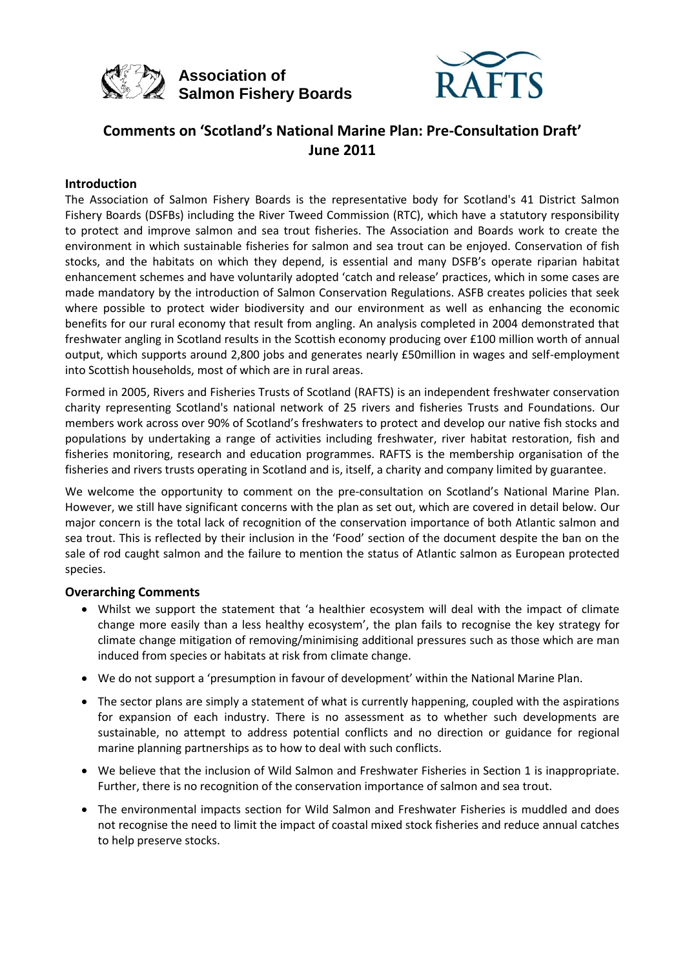



## **Comments on 'Scotland's National Marine Plan: Pre-Consultation Draft' June 2011**

#### **Introduction**

The Association of Salmon Fishery Boards is the representative body for Scotland's 41 District Salmon Fishery Boards (DSFBs) including the River Tweed Commission (RTC), which have a statutory responsibility to protect and improve salmon and sea trout fisheries. The Association and Boards work to create the environment in which sustainable fisheries for salmon and sea trout can be enjoyed. Conservation of fish stocks, and the habitats on which they depend, is essential and many DSFB's operate riparian habitat enhancement schemes and have voluntarily adopted 'catch and release' practices, which in some cases are made mandatory by the introduction of Salmon Conservation Regulations. ASFB creates policies that seek where possible to protect wider biodiversity and our environment as well as enhancing the economic benefits for our rural economy that result from angling. An analysis completed in 2004 demonstrated that freshwater angling in Scotland results in the Scottish economy producing over £100 million worth of annual output, which supports around 2,800 jobs and generates nearly £50million in wages and self-employment into Scottish households, most of which are in rural areas.

Formed in 2005, Rivers and Fisheries Trusts of Scotland (RAFTS) is an independent freshwater conservation charity representing Scotland's national network of 25 rivers and fisheries Trusts and Foundations. Our members work across over 90% of Scotland's freshwaters to protect and develop our native fish stocks and populations by undertaking a range of activities including freshwater, river habitat restoration, fish and fisheries monitoring, research and education programmes. RAFTS is the membership organisation of the fisheries and rivers trusts operating in Scotland and is, itself, a charity and company limited by guarantee.

We welcome the opportunity to comment on the pre-consultation on Scotland's National Marine Plan. However, we still have significant concerns with the plan as set out, which are covered in detail below. Our major concern is the total lack of recognition of the conservation importance of both Atlantic salmon and sea trout. This is reflected by their inclusion in the 'Food' section of the document despite the ban on the sale of rod caught salmon and the failure to mention the status of Atlantic salmon as European protected species.

#### **Overarching Comments**

- Whilst we support the statement that 'a healthier ecosystem will deal with the impact of climate change more easily than a less healthy ecosystem', the plan fails to recognise the key strategy for climate change mitigation of removing/minimising additional pressures such as those which are man induced from species or habitats at risk from climate change.
- We do not support a 'presumption in favour of development' within the National Marine Plan.
- The sector plans are simply a statement of what is currently happening, coupled with the aspirations for expansion of each industry. There is no assessment as to whether such developments are sustainable, no attempt to address potential conflicts and no direction or guidance for regional marine planning partnerships as to how to deal with such conflicts.
- We believe that the inclusion of Wild Salmon and Freshwater Fisheries in Section 1 is inappropriate. Further, there is no recognition of the conservation importance of salmon and sea trout.
- The environmental impacts section for Wild Salmon and Freshwater Fisheries is muddled and does not recognise the need to limit the impact of coastal mixed stock fisheries and reduce annual catches to help preserve stocks.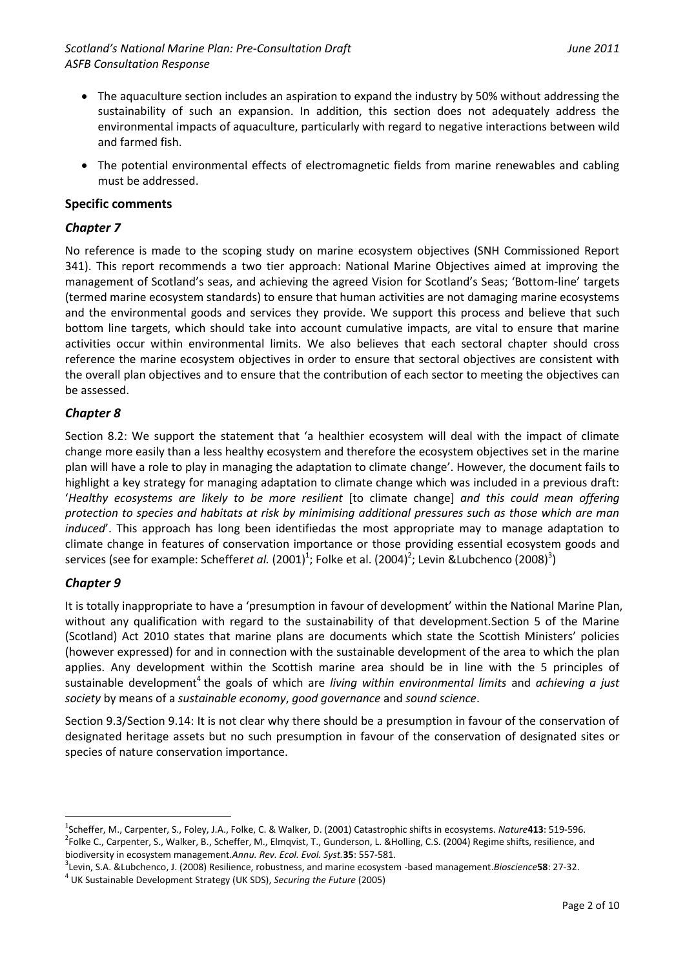- The aquaculture section includes an aspiration to expand the industry by 50% without addressing the sustainability of such an expansion. In addition, this section does not adequately address the environmental impacts of aquaculture, particularly with regard to negative interactions between wild and farmed fish.
- The potential environmental effects of electromagnetic fields from marine renewables and cabling must be addressed.

#### **Specific comments**

#### *Chapter 7*

No reference is made to the scoping study on marine ecosystem objectives (SNH Commissioned Report 341). This report recommends a two tier approach: National Marine Objectives aimed at improving the management of Scotland's seas, and achieving the agreed Vision for Scotland's Seas; 'Bottom-line' targets (termed marine ecosystem standards) to ensure that human activities are not damaging marine ecosystems and the environmental goods and services they provide. We support this process and believe that such bottom line targets, which should take into account cumulative impacts, are vital to ensure that marine activities occur within environmental limits. We also believes that each sectoral chapter should cross reference the marine ecosystem objectives in order to ensure that sectoral objectives are consistent with the overall plan objectives and to ensure that the contribution of each sector to meeting the objectives can be assessed.

#### *Chapter 8*

Section 8.2: We support the statement that 'a healthier ecosystem will deal with the impact of climate change more easily than a less healthy ecosystem and therefore the ecosystem objectives set in the marine plan will have a role to play in managing the adaptation to climate change'. However, the document fails to highlight a key strategy for managing adaptation to climate change which was included in a previous draft: '*Healthy ecosystems are likely to be more resilient* [to climate change] *and this could mean offering protection to species and habitats at risk by minimising additional pressures such as those which are man induced*'. This approach has long been identifiedas the most appropriate may to manage adaptation to climate change in features of conservation importance or those providing essential ecosystem goods and services (see for example: Scheffer*et al.* (2001)<sup>1</sup>; Folke et al. (2004)<sup>2</sup>; Levin &Lubchenco (2008)<sup>3</sup>)

#### *Chapter 9*

1

It is totally inappropriate to have a 'presumption in favour of development' within the National Marine Plan, without any qualification with regard to the sustainability of that development.Section 5 of the Marine (Scotland) Act 2010 states that marine plans are documents which state the Scottish Ministers' policies (however expressed) for and in connection with the sustainable development of the area to which the plan applies. Any development within the Scottish marine area should be in line with the 5 principles of sustainable development<sup>4</sup> the goals of which are *living within environmental limits* and *achieving a just society* by means of a *sustainable economy*, *good governance* and *sound science*.

Section 9.3/Section 9.14: It is not clear why there should be a presumption in favour of the conservation of designated heritage assets but no such presumption in favour of the conservation of designated sites or species of nature conservation importance.

<sup>1</sup> Scheffer, M., Carpenter, S., Foley, J.A., Folke, C. & Walker, D. (2001) Catastrophic shifts in ecosystems. *Nature***413**: 519-596. <sup>2</sup>Folke C., Carpenter, S., Walker, B., Scheffer, M., Elmqvist, T., Gunderson, L. &Holling, C.S. (2004) Regime shifts, resilience, and biodiversity in ecosystem management.*Annu. Rev. Ecol. Evol. Syst.***35**: 557-581.

<sup>3</sup> Levin, S.A. &Lubchenco, J. (2008) Resilience, robustness, and marine ecosystem -based management.*Bioscience***58**: 27-32.

<sup>4</sup> UK Sustainable Development Strategy (UK SDS), *Securing the Future* (2005)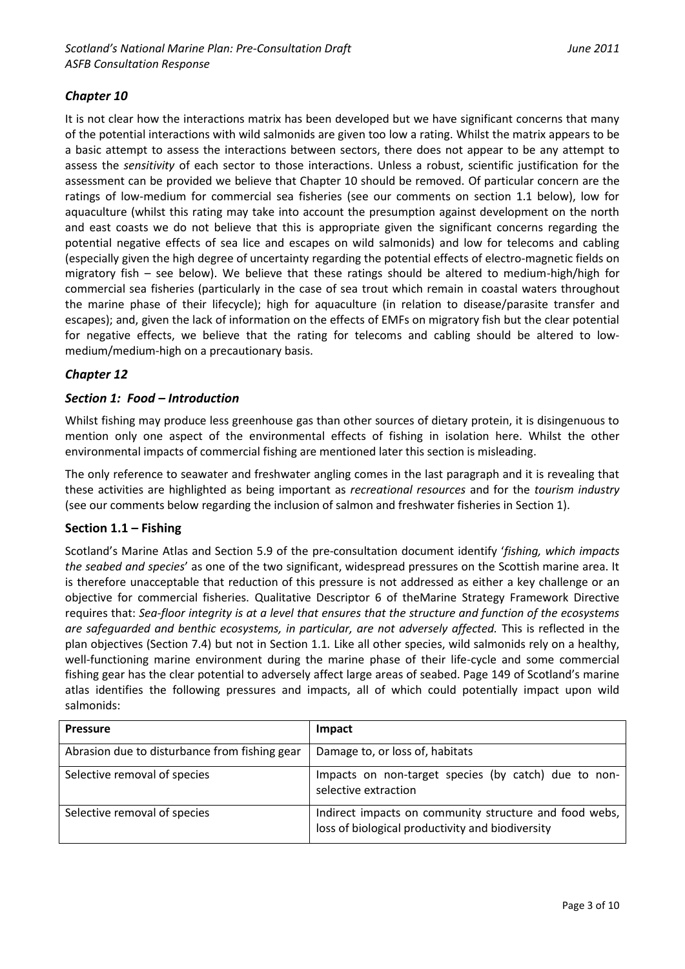## *Chapter 10*

It is not clear how the interactions matrix has been developed but we have significant concerns that many of the potential interactions with wild salmonids are given too low a rating. Whilst the matrix appears to be a basic attempt to assess the interactions between sectors, there does not appear to be any attempt to assess the *sensitivity* of each sector to those interactions. Unless a robust, scientific justification for the assessment can be provided we believe that Chapter 10 should be removed. Of particular concern are the ratings of low-medium for commercial sea fisheries (see our comments on section 1.1 below), low for aquaculture (whilst this rating may take into account the presumption against development on the north and east coasts we do not believe that this is appropriate given the significant concerns regarding the potential negative effects of sea lice and escapes on wild salmonids) and low for telecoms and cabling (especially given the high degree of uncertainty regarding the potential effects of electro-magnetic fields on migratory fish – see below). We believe that these ratings should be altered to medium-high/high for commercial sea fisheries (particularly in the case of sea trout which remain in coastal waters throughout the marine phase of their lifecycle); high for aquaculture (in relation to disease/parasite transfer and escapes); and, given the lack of information on the effects of EMFs on migratory fish but the clear potential for negative effects, we believe that the rating for telecoms and cabling should be altered to lowmedium/medium-high on a precautionary basis.

## *Chapter 12*

## *Section 1: Food – Introduction*

Whilst fishing may produce less greenhouse gas than other sources of dietary protein, it is disingenuous to mention only one aspect of the environmental effects of fishing in isolation here. Whilst the other environmental impacts of commercial fishing are mentioned later this section is misleading.

The only reference to seawater and freshwater angling comes in the last paragraph and it is revealing that these activities are highlighted as being important as *recreational resources* and for the *tourism industry* (see our comments below regarding the inclusion of salmon and freshwater fisheries in Section 1).

## **Section 1.1 – Fishing**

Scotland's Marine Atlas and Section 5.9 of the pre-consultation document identify '*fishing, which impacts the seabed and species*' as one of the two significant, widespread pressures on the Scottish marine area. It is therefore unacceptable that reduction of this pressure is not addressed as either a key challenge or an objective for commercial fisheries. Qualitative Descriptor 6 of theMarine Strategy Framework Directive requires that: *Sea-floor integrity is at a level that ensures that the structure and function of the ecosystems are safeguarded and benthic ecosystems, in particular, are not adversely affected.* This is reflected in the plan objectives (Section 7.4) but not in Section 1.1*.* Like all other species, wild salmonids rely on a healthy, well-functioning marine environment during the marine phase of their life-cycle and some commercial fishing gear has the clear potential to adversely affect large areas of seabed. Page 149 of Scotland's marine atlas identifies the following pressures and impacts, all of which could potentially impact upon wild salmonids:

| <b>Pressure</b>                               | Impact                                                                                                     |
|-----------------------------------------------|------------------------------------------------------------------------------------------------------------|
| Abrasion due to disturbance from fishing gear | Damage to, or loss of, habitats                                                                            |
| Selective removal of species                  | Impacts on non-target species (by catch) due to non-<br>selective extraction                               |
| Selective removal of species                  | Indirect impacts on community structure and food webs,<br>loss of biological productivity and biodiversity |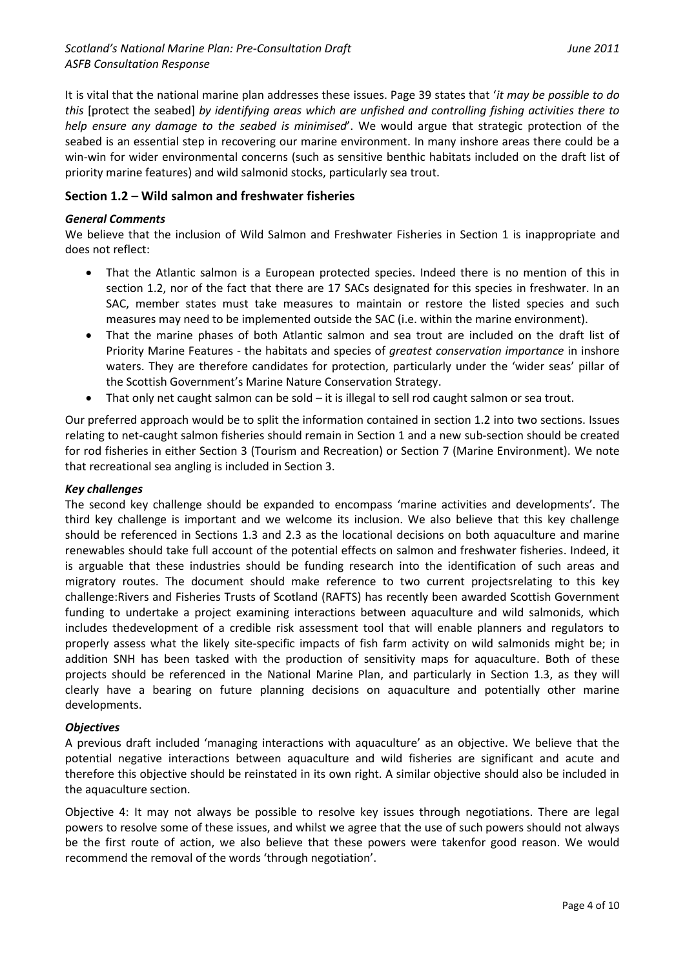It is vital that the national marine plan addresses these issues. Page 39 states that '*it may be possible to do this* [protect the seabed] *by identifying areas which are unfished and controlling fishing activities there to help ensure any damage to the seabed is minimised*'. We would argue that strategic protection of the seabed is an essential step in recovering our marine environment. In many inshore areas there could be a win-win for wider environmental concerns (such as sensitive benthic habitats included on the draft list of priority marine features) and wild salmonid stocks, particularly sea trout.

## **Section 1.2 – Wild salmon and freshwater fisheries**

#### *General Comments*

We believe that the inclusion of Wild Salmon and Freshwater Fisheries in Section 1 is inappropriate and does not reflect:

- That the Atlantic salmon is a European protected species. Indeed there is no mention of this in section 1.2, nor of the fact that there are 17 SACs designated for this species in freshwater. In an SAC, member states must take measures to maintain or restore the listed species and such measures may need to be implemented outside the SAC (i.e. within the marine environment).
- That the marine phases of both Atlantic salmon and sea trout are included on the draft list of Priority Marine Features - the habitats and species of *greatest conservation importance* in inshore waters. They are therefore candidates for protection, particularly under the 'wider seas' pillar of the Scottish Government's Marine Nature Conservation Strategy.
- That only net caught salmon can be sold it is illegal to sell rod caught salmon or sea trout.

Our preferred approach would be to split the information contained in section 1.2 into two sections. Issues relating to net-caught salmon fisheries should remain in Section 1 and a new sub-section should be created for rod fisheries in either Section 3 (Tourism and Recreation) or Section 7 (Marine Environment). We note that recreational sea angling is included in Section 3.

#### *Key challenges*

The second key challenge should be expanded to encompass 'marine activities and developments'. The third key challenge is important and we welcome its inclusion. We also believe that this key challenge should be referenced in Sections 1.3 and 2.3 as the locational decisions on both aquaculture and marine renewables should take full account of the potential effects on salmon and freshwater fisheries. Indeed, it is arguable that these industries should be funding research into the identification of such areas and migratory routes. The document should make reference to two current projectsrelating to this key challenge:Rivers and Fisheries Trusts of Scotland (RAFTS) has recently been awarded Scottish Government funding to undertake a project examining interactions between aquaculture and wild salmonids, which includes thedevelopment of a credible risk assessment tool that will enable planners and regulators to properly assess what the likely site-specific impacts of fish farm activity on wild salmonids might be; in addition SNH has been tasked with the production of sensitivity maps for aquaculture. Both of these projects should be referenced in the National Marine Plan, and particularly in Section 1.3, as they will clearly have a bearing on future planning decisions on aquaculture and potentially other marine developments.

#### *Objectives*

A previous draft included 'managing interactions with aquaculture' as an objective. We believe that the potential negative interactions between aquaculture and wild fisheries are significant and acute and therefore this objective should be reinstated in its own right. A similar objective should also be included in the aquaculture section.

Objective 4: It may not always be possible to resolve key issues through negotiations. There are legal powers to resolve some of these issues, and whilst we agree that the use of such powers should not always be the first route of action, we also believe that these powers were takenfor good reason. We would recommend the removal of the words 'through negotiation'.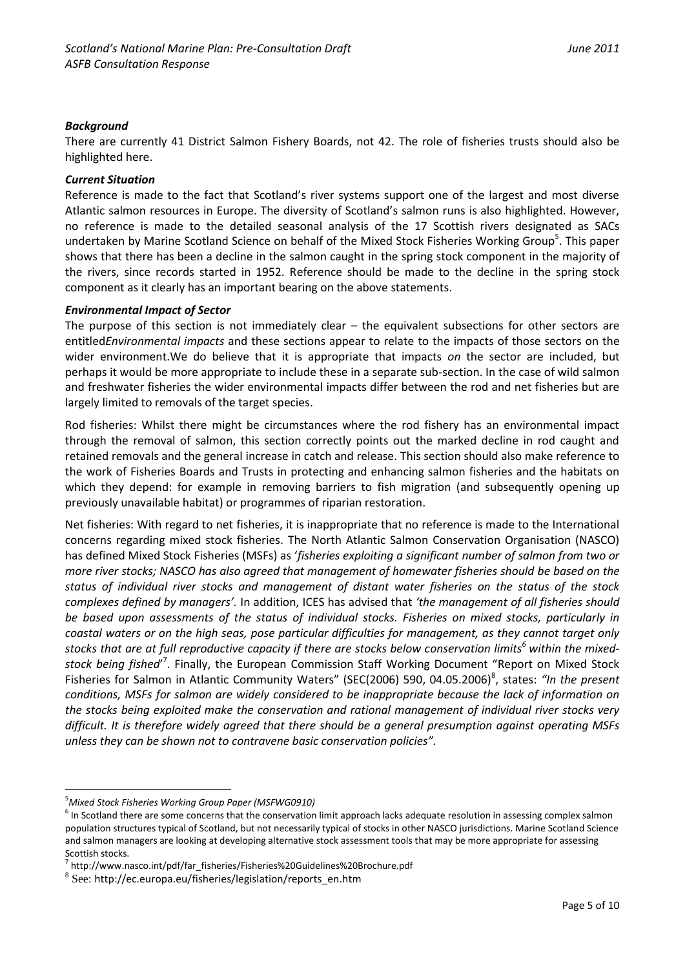#### *Background*

There are currently 41 District Salmon Fishery Boards, not 42. The role of fisheries trusts should also be highlighted here.

#### *Current Situation*

Reference is made to the fact that Scotland's river systems support one of the largest and most diverse Atlantic salmon resources in Europe. The diversity of Scotland's salmon runs is also highlighted. However, no reference is made to the detailed seasonal analysis of the 17 Scottish rivers designated as SACs undertaken by Marine Scotland Science on behalf of the Mixed Stock Fisheries Working Group<sup>5</sup>. This paper shows that there has been a decline in the salmon caught in the spring stock component in the majority of the rivers, since records started in 1952. Reference should be made to the decline in the spring stock component as it clearly has an important bearing on the above statements.

#### *Environmental Impact of Sector*

The purpose of this section is not immediately clear – the equivalent subsections for other sectors are entitled*Environmental impacts* and these sections appear to relate to the impacts of those sectors on the wider environment.We do believe that it is appropriate that impacts *on* the sector are included, but perhaps it would be more appropriate to include these in a separate sub-section. In the case of wild salmon and freshwater fisheries the wider environmental impacts differ between the rod and net fisheries but are largely limited to removals of the target species.

Rod fisheries: Whilst there might be circumstances where the rod fishery has an environmental impact through the removal of salmon, this section correctly points out the marked decline in rod caught and retained removals and the general increase in catch and release. This section should also make reference to the work of Fisheries Boards and Trusts in protecting and enhancing salmon fisheries and the habitats on which they depend: for example in removing barriers to fish migration (and subsequently opening up previously unavailable habitat) or programmes of riparian restoration.

Net fisheries: With regard to net fisheries, it is inappropriate that no reference is made to the International concerns regarding mixed stock fisheries. The North Atlantic Salmon Conservation Organisation (NASCO) has defined Mixed Stock Fisheries (MSFs) as '*fisheries exploiting a significant number of salmon from two or more river stocks; NASCO has also agreed that management of homewater fisheries should be based on the status of individual river stocks and management of distant water fisheries on the status of the stock complexes defined by managers'.* In addition, ICES has advised that *'the management of all fisheries should be based upon assessments of the status of individual stocks. Fisheries on mixed stocks, particularly in coastal waters or on the high seas, pose particular difficulties for management, as they cannot target only stocks that are at full reproductive capacity if there are stocks below conservation limits<sup>6</sup> within the mixed*stock being fished<sup>"</sup>. Finally, the European Commission Staff Working Document "Report on Mixed Stock Fisheries for Salmon in Atlantic Community Waters" (SEC(2006) 590, 04.05.2006)<sup>8</sup>, states: "In the present *conditions, MSFs for salmon are widely considered to be inappropriate because the lack of information on the stocks being exploited make the conservation and rational management of individual river stocks very difficult. It is therefore widely agreed that there should be a general presumption against operating MSFs unless they can be shown not to contravene basic conservation policies".*

<u>.</u>

<sup>5</sup>*Mixed Stock Fisheries Working Group Paper (MSFWG0910)*

 $<sup>6</sup>$  In Scotland there are some concerns that the conservation limit approach lacks adequate resolution in assessing complex salmon</sup> population structures typical of Scotland, but not necessarily typical of stocks in other NASCO jurisdictions. Marine Scotland Science and salmon managers are looking at developing alternative stock assessment tools that may be more appropriate for assessing Scottish stocks.

<sup>7</sup> http://www.nasco.int/pdf/far\_fisheries/Fisheries%20Guidelines%20Brochure.pdf

<sup>8</sup> See: http://ec.europa.eu/fisheries/legislation/reports\_en.htm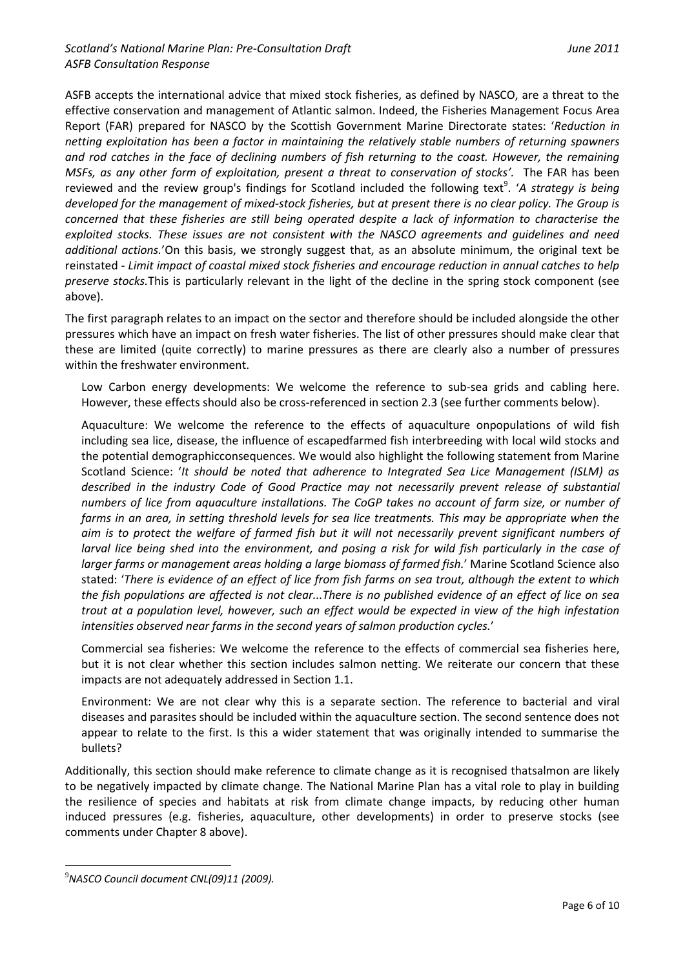ASFB accepts the international advice that mixed stock fisheries, as defined by NASCO, are a threat to the effective conservation and management of Atlantic salmon. Indeed, the Fisheries Management Focus Area Report (FAR) prepared for NASCO by the Scottish Government Marine Directorate states: '*Reduction in netting exploitation has been a factor in maintaining the relatively stable numbers of returning spawners and rod catches in the face of declining numbers of fish returning to the coast. However, the remaining MSFs, as any other form of exploitation, present a threat to conservation of stocks'.* The FAR has been reviewed and the review group's findings for Scotland included the following text<sup>9</sup>. 'A strategy is being *developed for the management of mixed-stock fisheries, but at present there is no clear policy. The Group is concerned that these fisheries are still being operated despite a lack of information to characterise the exploited stocks. These issues are not consistent with the NASCO agreements and guidelines and need additional actions.*'On this basis, we strongly suggest that, as an absolute minimum, the original text be reinstated - *Limit impact of coastal mixed stock fisheries and encourage reduction in annual catches to help preserve stocks.*This is particularly relevant in the light of the decline in the spring stock component (see above).

The first paragraph relates to an impact on the sector and therefore should be included alongside the other pressures which have an impact on fresh water fisheries. The list of other pressures should make clear that these are limited (quite correctly) to marine pressures as there are clearly also a number of pressures within the freshwater environment.

Low Carbon energy developments: We welcome the reference to sub-sea grids and cabling here. However, these effects should also be cross-referenced in section 2.3 (see further comments below).

Aquaculture: We welcome the reference to the effects of aquaculture onpopulations of wild fish including sea lice, disease, the influence of escapedfarmed fish interbreeding with local wild stocks and the potential demographicconsequences. We would also highlight the following statement from Marine Scotland Science: '*It should be noted that adherence to Integrated Sea Lice Management (ISLM) as described in the industry Code of Good Practice may not necessarily prevent release of substantial numbers of lice from aquaculture installations. The CoGP takes no account of farm size, or number of farms in an area, in setting threshold levels for sea lice treatments. This may be appropriate when the aim is to protect the welfare of farmed fish but it will not necessarily prevent significant numbers of larval lice being shed into the environment, and posing a risk for wild fish particularly in the case of larger farms or management areas holding a large biomass of farmed fish.*' Marine Scotland Science also stated: '*There is evidence of an effect of lice from fish farms on sea trout, although the extent to which the fish populations are affected is not clear...There is no published evidence of an effect of lice on sea trout at a population level, however, such an effect would be expected in view of the high infestation intensities observed near farms in the second years of salmon production cycles.*'

Commercial sea fisheries: We welcome the reference to the effects of commercial sea fisheries here, but it is not clear whether this section includes salmon netting. We reiterate our concern that these impacts are not adequately addressed in Section 1.1.

Environment: We are not clear why this is a separate section. The reference to bacterial and viral diseases and parasites should be included within the aquaculture section. The second sentence does not appear to relate to the first. Is this a wider statement that was originally intended to summarise the bullets?

Additionally, this section should make reference to climate change as it is recognised thatsalmon are likely to be negatively impacted by climate change. The National Marine Plan has a vital role to play in building the resilience of species and habitats at risk from climate change impacts, by reducing other human induced pressures (e.g. fisheries, aquaculture, other developments) in order to preserve stocks (see comments under Chapter 8 above).

1

<sup>9</sup>*NASCO Council document CNL(09)11 (2009).*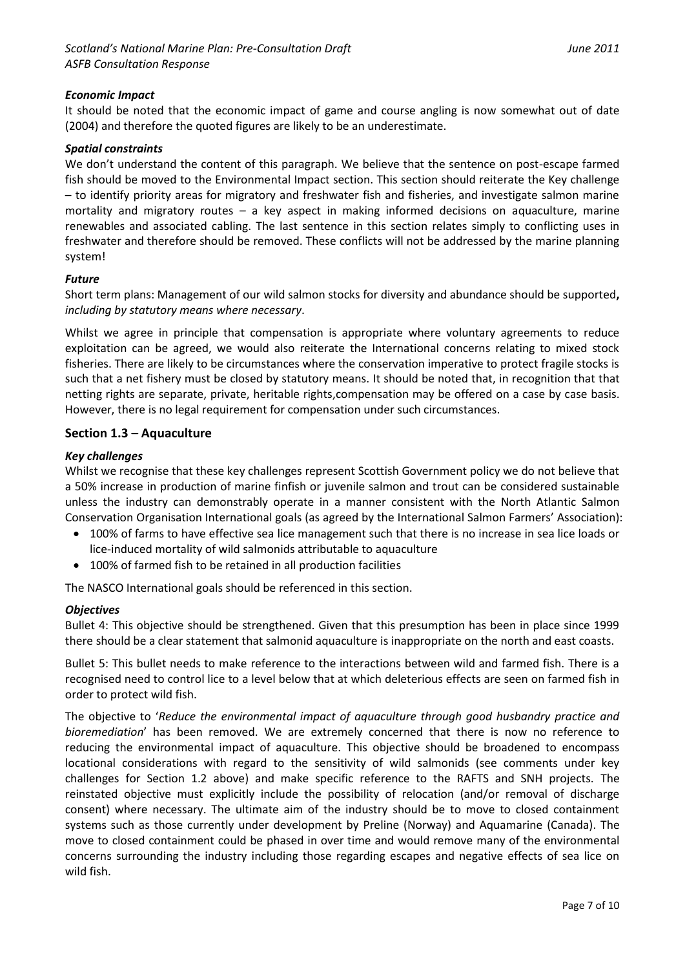#### *Economic Impact*

It should be noted that the economic impact of game and course angling is now somewhat out of date (2004) and therefore the quoted figures are likely to be an underestimate.

#### *Spatial constraints*

We don't understand the content of this paragraph. We believe that the sentence on post-escape farmed fish should be moved to the Environmental Impact section. This section should reiterate the Key challenge – to identify priority areas for migratory and freshwater fish and fisheries, and investigate salmon marine mortality and migratory routes – a key aspect in making informed decisions on aquaculture, marine renewables and associated cabling. The last sentence in this section relates simply to conflicting uses in freshwater and therefore should be removed. These conflicts will not be addressed by the marine planning system!

#### *Future*

Short term plans: Management of our wild salmon stocks for diversity and abundance should be supported**,**  *including by statutory means where necessary*.

Whilst we agree in principle that compensation is appropriate where voluntary agreements to reduce exploitation can be agreed, we would also reiterate the International concerns relating to mixed stock fisheries. There are likely to be circumstances where the conservation imperative to protect fragile stocks is such that a net fishery must be closed by statutory means. It should be noted that, in recognition that that netting rights are separate, private, heritable rights,compensation may be offered on a case by case basis. However, there is no legal requirement for compensation under such circumstances.

#### **Section 1.3 – Aquaculture**

#### *Key challenges*

Whilst we recognise that these key challenges represent Scottish Government policy we do not believe that a 50% increase in production of marine finfish or juvenile salmon and trout can be considered sustainable unless the industry can demonstrably operate in a manner consistent with the North Atlantic Salmon Conservation Organisation International goals (as agreed by the International Salmon Farmers' Association):

- 100% of farms to have effective sea lice management such that there is no increase in sea lice loads or lice-induced mortality of wild salmonids attributable to aquaculture
- 100% of farmed fish to be retained in all production facilities

The NASCO International goals should be referenced in this section.

#### *Objectives*

Bullet 4: This objective should be strengthened. Given that this presumption has been in place since 1999 there should be a clear statement that salmonid aquaculture is inappropriate on the north and east coasts.

Bullet 5: This bullet needs to make reference to the interactions between wild and farmed fish. There is a recognised need to control lice to a level below that at which deleterious effects are seen on farmed fish in order to protect wild fish.

The objective to '*Reduce the environmental impact of aquaculture through good husbandry practice and bioremediation*' has been removed. We are extremely concerned that there is now no reference to reducing the environmental impact of aquaculture. This objective should be broadened to encompass locational considerations with regard to the sensitivity of wild salmonids (see comments under key challenges for Section 1.2 above) and make specific reference to the RAFTS and SNH projects. The reinstated objective must explicitly include the possibility of relocation (and/or removal of discharge consent) where necessary. The ultimate aim of the industry should be to move to closed containment systems such as those currently under development by Preline (Norway) and Aquamarine (Canada). The move to closed containment could be phased in over time and would remove many of the environmental concerns surrounding the industry including those regarding escapes and negative effects of sea lice on wild fish.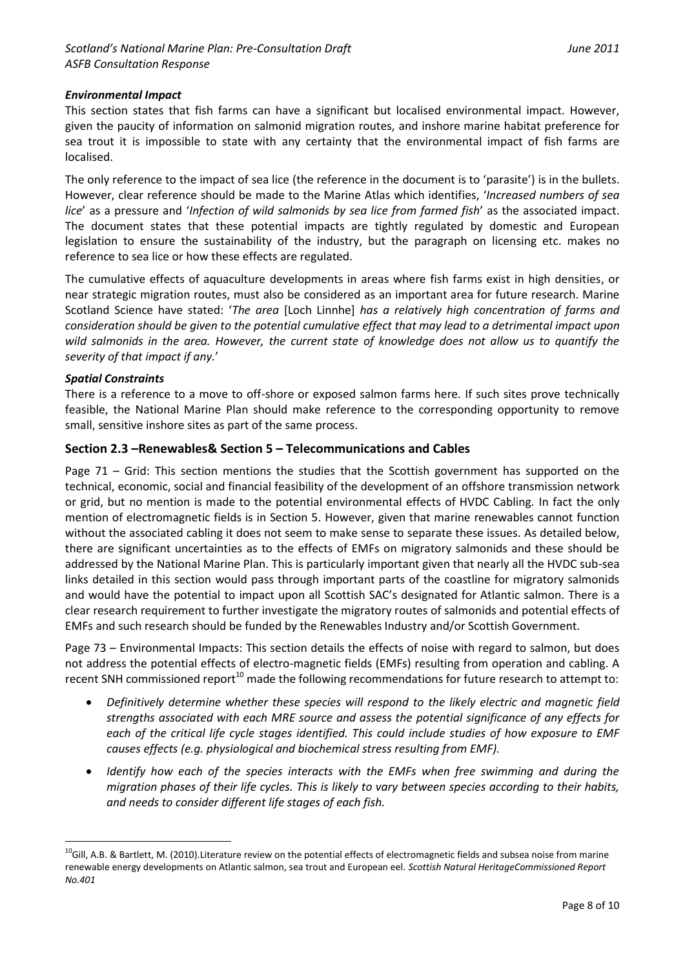#### *Environmental Impact*

This section states that fish farms can have a significant but localised environmental impact. However, given the paucity of information on salmonid migration routes, and inshore marine habitat preference for sea trout it is impossible to state with any certainty that the environmental impact of fish farms are localised.

The only reference to the impact of sea lice (the reference in the document is to 'parasite') is in the bullets. However, clear reference should be made to the Marine Atlas which identifies, '*Increased numbers of sea lice*' as a pressure and '*Infection of wild salmonids by sea lice from farmed fish*' as the associated impact. The document states that these potential impacts are tightly regulated by domestic and European legislation to ensure the sustainability of the industry, but the paragraph on licensing etc. makes no reference to sea lice or how these effects are regulated.

The cumulative effects of aquaculture developments in areas where fish farms exist in high densities, or near strategic migration routes, must also be considered as an important area for future research. Marine Scotland Science have stated: '*The area* [Loch Linnhe] *has a relatively high concentration of farms and consideration should be given to the potential cumulative effect that may lead to a detrimental impact upon wild salmonids in the area. However, the current state of knowledge does not allow us to quantify the severity of that impact if any.*'

#### *Spatial Constraints*

1

There is a reference to a move to off-shore or exposed salmon farms here. If such sites prove technically feasible, the National Marine Plan should make reference to the corresponding opportunity to remove small, sensitive inshore sites as part of the same process.

#### **Section 2.3 –Renewables& Section 5 – Telecommunications and Cables**

Page 71 – Grid: This section mentions the studies that the Scottish government has supported on the technical, economic, social and financial feasibility of the development of an offshore transmission network or grid, but no mention is made to the potential environmental effects of HVDC Cabling. In fact the only mention of electromagnetic fields is in Section 5. However, given that marine renewables cannot function without the associated cabling it does not seem to make sense to separate these issues. As detailed below, there are significant uncertainties as to the effects of EMFs on migratory salmonids and these should be addressed by the National Marine Plan. This is particularly important given that nearly all the HVDC sub-sea links detailed in this section would pass through important parts of the coastline for migratory salmonids and would have the potential to impact upon all Scottish SAC's designated for Atlantic salmon. There is a clear research requirement to further investigate the migratory routes of salmonids and potential effects of EMFs and such research should be funded by the Renewables Industry and/or Scottish Government.

Page 73 – Environmental Impacts: This section details the effects of noise with regard to salmon, but does not address the potential effects of electro-magnetic fields (EMFs) resulting from operation and cabling. A recent SNH commissioned report<sup>10</sup> made the following recommendations for future research to attempt to:

- *Definitively determine whether these species will respond to the likely electric and magnetic field strengths associated with each MRE source and assess the potential significance of any effects for each of the critical life cycle stages identified. This could include studies of how exposure to EMF causes effects (e.g. physiological and biochemical stress resulting from EMF).*
- *Identify how each of the species interacts with the EMFs when free swimming and during the migration phases of their life cycles. This is likely to vary between species according to their habits, and needs to consider different life stages of each fish.*

<sup>&</sup>lt;sup>10</sup>Gill, A.B. & Bartlett, M. (2010).Literature review on the potential effects of electromagnetic fields and subsea noise from marine renewable energy developments on Atlantic salmon, sea trout and European eel*. Scottish Natural HeritageCommissioned Report No.401*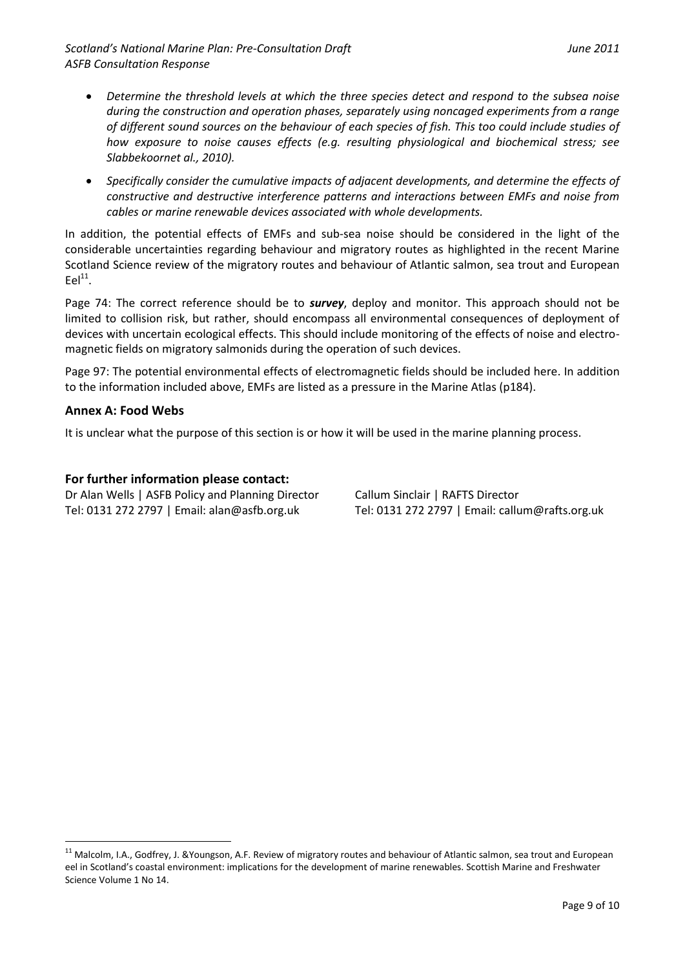*Scotland's National Marine Plan: Pre-Consultation Draft June 2011 ASFB Consultation Response*

- *Determine the threshold levels at which the three species detect and respond to the subsea noise during the construction and operation phases, separately using noncaged experiments from a range of different sound sources on the behaviour of each species of fish. This too could include studies of how exposure to noise causes effects (e.g. resulting physiological and biochemical stress; see Slabbekoornet al., 2010).*
- *Specifically consider the cumulative impacts of adjacent developments, and determine the effects of constructive and destructive interference patterns and interactions between EMFs and noise from cables or marine renewable devices associated with whole developments.*

In addition, the potential effects of EMFs and sub-sea noise should be considered in the light of the considerable uncertainties regarding behaviour and migratory routes as highlighted in the recent Marine Scotland Science review of the migratory routes and behaviour of Atlantic salmon, sea trout and European  $Eel<sup>11</sup>$ .

Page 74: The correct reference should be to *survey*, deploy and monitor. This approach should not be limited to collision risk, but rather, should encompass all environmental consequences of deployment of devices with uncertain ecological effects. This should include monitoring of the effects of noise and electromagnetic fields on migratory salmonids during the operation of such devices.

Page 97: The potential environmental effects of electromagnetic fields should be included here. In addition to the information included above, EMFs are listed as a pressure in the Marine Atlas (p184).

## **Annex A: Food Webs**

1

It is unclear what the purpose of this section is or how it will be used in the marine planning process.

#### **For further information please contact:**

Dr Alan Wells | ASFB Policy and Planning Director Callum Sinclair | RAFTS Director Tel: 0131 272 2797 | Email: alan@asfb.org.uk Tel: 0131 272 2797 | Email: callum@rafts.org.uk

<sup>&</sup>lt;sup>11</sup> Malcolm, I.A., Godfrey, J. &Youngson, A.F. Review of migratory routes and behaviour of Atlantic salmon, sea trout and European eel in Scotland's coastal environment: implications for the development of marine renewables. Scottish Marine and Freshwater Science Volume 1 No 14.